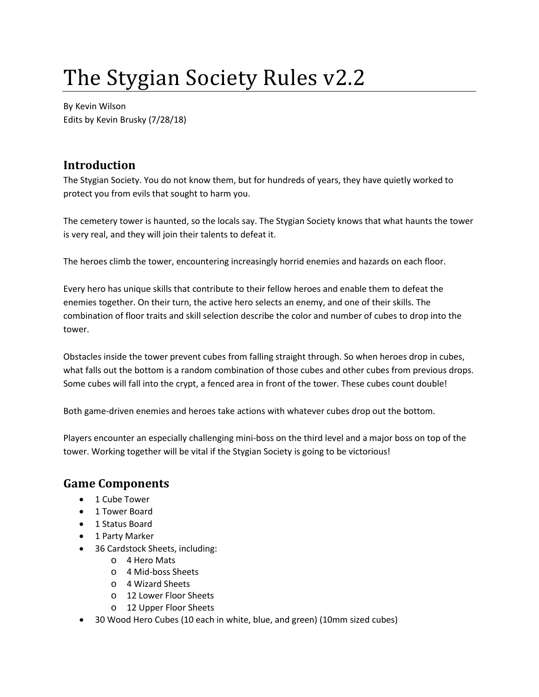# The Stygian Society Rules v2.2

By Kevin Wilson Edits by Kevin Brusky (7/28/18)

# **Introduction**

The Stygian Society. You do not know them, but for hundreds of years, they have quietly worked to protect you from evils that sought to harm you.

The cemetery tower is haunted, so the locals say. The Stygian Society knows that what haunts the tower is very real, and they will join their talents to defeat it.

The heroes climb the tower, encountering increasingly horrid enemies and hazards on each floor.

Every hero has unique skills that contribute to their fellow heroes and enable them to defeat the enemies together. On their turn, the active hero selects an enemy, and one of their skills. The combination of floor traits and skill selection describe the color and number of cubes to drop into the tower.

Obstacles inside the tower prevent cubes from falling straight through. So when heroes drop in cubes, what falls out the bottom is a random combination of those cubes and other cubes from previous drops. Some cubes will fall into the crypt, a fenced area in front of the tower. These cubes count double!

Both game-driven enemies and heroes take actions with whatever cubes drop out the bottom.

Players encounter an especially challenging mini-boss on the third level and a major boss on top of the tower. Working together will be vital if the Stygian Society is going to be victorious!

# **Game Components**

- 1 Cube Tower
- 1 Tower Board
- 1 Status Board
- 1 Party Marker
- 36 Cardstock Sheets, including:
	- o 4 Hero Mats
	- o 4 Mid-boss Sheets
	- o 4 Wizard Sheets
	- o 12 Lower Floor Sheets
	- o 12 Upper Floor Sheets
- 30 Wood Hero Cubes (10 each in white, blue, and green) (10mm sized cubes)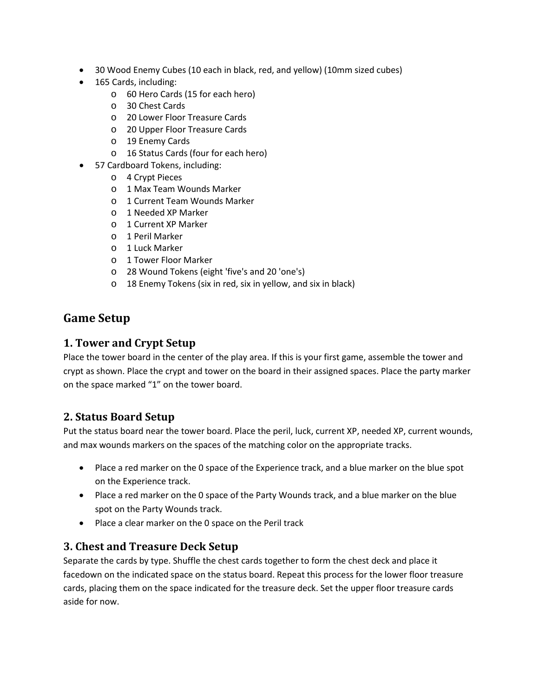- 30 Wood Enemy Cubes (10 each in black, red, and yellow) (10mm sized cubes)
- 165 Cards, including:
	- o 60 Hero Cards (15 for each hero)
	- o 30 Chest Cards
	- o 20 Lower Floor Treasure Cards
	- o 20 Upper Floor Treasure Cards
	- o 19 Enemy Cards
	- o 16 Status Cards (four for each hero)
- 57 Cardboard Tokens, including:
	- o 4 Crypt Pieces
	- o 1 Max Team Wounds Marker
	- o 1 Current Team Wounds Marker
	- o 1 Needed XP Marker
	- o 1 Current XP Marker
	- o 1 Peril Marker
	- o 1 Luck Marker
	- o 1 Tower Floor Marker
	- o 28 Wound Tokens (eight 'five's and 20 'one's)
	- o 18 Enemy Tokens (six in red, six in yellow, and six in black)

# **Game Setup**

#### **1. Tower and Crypt Setup**

Place the tower board in the center of the play area. If this is your first game, assemble the tower and crypt as shown. Place the crypt and tower on the board in their assigned spaces. Place the party marker on the space marked "1" on the tower board.

### **2. Status Board Setup**

Put the status board near the tower board. Place the peril, luck, current XP, needed XP, current wounds, and max wounds markers on the spaces of the matching color on the appropriate tracks.

- Place a red marker on the 0 space of the Experience track, and a blue marker on the blue spot on the Experience track.
- Place a red marker on the 0 space of the Party Wounds track, and a blue marker on the blue spot on the Party Wounds track.
- Place a clear marker on the 0 space on the Peril track

#### **3. Chest and Treasure Deck Setup**

Separate the cards by type. Shuffle the chest cards together to form the chest deck and place it facedown on the indicated space on the status board. Repeat this process for the lower floor treasure cards, placing them on the space indicated for the treasure deck. Set the upper floor treasure cards aside for now.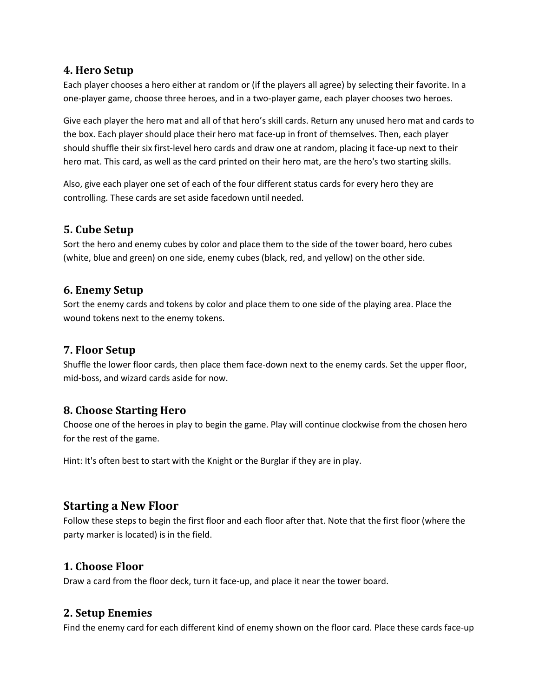#### **4. Hero Setup**

Each player chooses a hero either at random or (if the players all agree) by selecting their favorite. In a one-player game, choose three heroes, and in a two-player game, each player chooses two heroes.

Give each player the hero mat and all of that hero's skill cards. Return any unused hero mat and cards to the box. Each player should place their hero mat face-up in front of themselves. Then, each player should shuffle their six first-level hero cards and draw one at random, placing it face-up next to their hero mat. This card, as well as the card printed on their hero mat, are the hero's two starting skills.

Also, give each player one set of each of the four different status cards for every hero they are controlling. These cards are set aside facedown until needed.

### **5. Cube Setup**

Sort the hero and enemy cubes by color and place them to the side of the tower board, hero cubes (white, blue and green) on one side, enemy cubes (black, red, and yellow) on the other side.

#### **6. Enemy Setup**

Sort the enemy cards and tokens by color and place them to one side of the playing area. Place the wound tokens next to the enemy tokens.

### **7. Floor Setup**

Shuffle the lower floor cards, then place them face-down next to the enemy cards. Set the upper floor, mid-boss, and wizard cards aside for now.

### **8. Choose Starting Hero**

Choose one of the heroes in play to begin the game. Play will continue clockwise from the chosen hero for the rest of the game.

Hint: It's often best to start with the Knight or the Burglar if they are in play.

### **Starting a New Floor**

Follow these steps to begin the first floor and each floor after that. Note that the first floor (where the party marker is located) is in the field.

#### **1. Choose Floor**

Draw a card from the floor deck, turn it face-up, and place it near the tower board.

### **2. Setup Enemies**

Find the enemy card for each different kind of enemy shown on the floor card. Place these cards face-up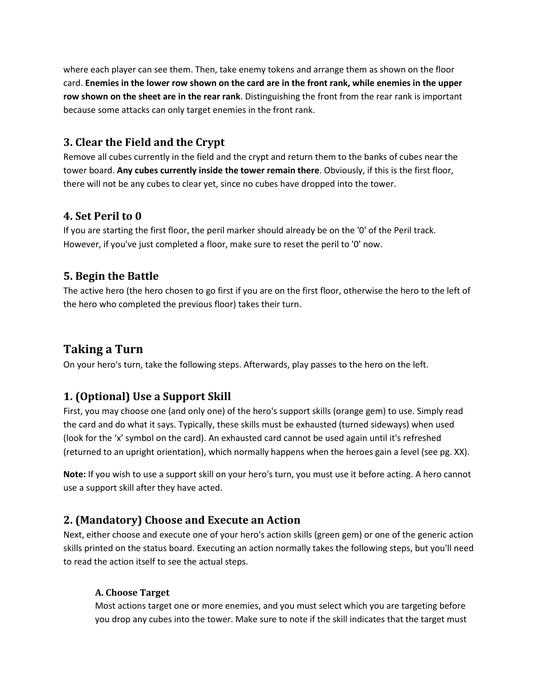where each player can see them. Then, take enemy tokens and arrange them as shown on the floor card. **Enemies in the lower row shown on the card are in the front rank, while enemies in the upper row shown on the sheet are in the rear rank**. Distinguishing the front from the rear rank is important because some attacks can only target enemies in the front rank.

### **3. Clear the Field and the Crypt**

Remove all cubes currently in the field and the crypt and return them to the banks of cubes near the tower board. **Any cubes currently inside the tower remain there**. Obviously, if this is the first floor, there will not be any cubes to clear yet, since no cubes have dropped into the tower.

### **4. Set Peril to 0**

If you are starting the first floor, the peril marker should already be on the '0' of the Peril track. However, if you've just completed a floor, make sure to reset the peril to '0' now.

### **5. Begin the Battle**

The active hero (the hero chosen to go first if you are on the first floor, otherwise the hero to the left of the hero who completed the previous floor) takes their turn.

# **Taking a Turn**

On your hero's turn, take the following steps. Afterwards, play passes to the hero on the left.

# **1. (Optional) Use a Support Skill**

First, you may choose one (and only one) of the hero's support skills (orange gem) to use. Simply read the card and do what it says. Typically, these skills must be exhausted (turned sideways) when used (look for the 'x' symbol on the card). An exhausted card cannot be used again until it's refreshed (returned to an upright orientation), which normally happens when the heroes gain a level (see pg. XX).

**Note:** If you wish to use a support skill on your hero's turn, you must use it before acting. A hero cannot use a support skill after they have acted.

# **2. (Mandatory) Choose and Execute an Action**

Next, either choose and execute one of your hero's action skills (green gem) or one of the generic action skills printed on the status board. Executing an action normally takes the following steps, but you'll need to read the action itself to see the actual steps.

#### **A. Choose Target**

Most actions target one or more enemies, and you must select which you are targeting before you drop any cubes into the tower. Make sure to note if the skill indicates that the target must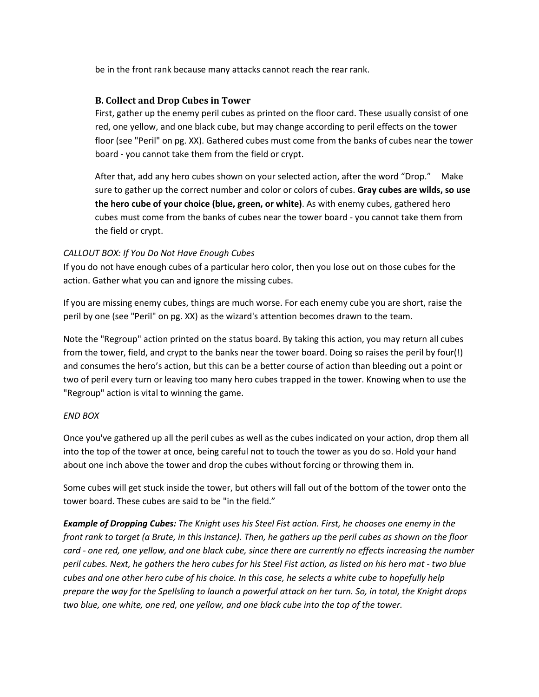be in the front rank because many attacks cannot reach the rear rank.

#### **B. Collect and Drop Cubes in Tower**

First, gather up the enemy peril cubes as printed on the floor card. These usually consist of one red, one yellow, and one black cube, but may change according to peril effects on the tower floor (see "Peril" on pg. XX). Gathered cubes must come from the banks of cubes near the tower board - you cannot take them from the field or crypt.

After that, add any hero cubes shown on your selected action, after the word "Drop." Make sure to gather up the correct number and color or colors of cubes. **Gray cubes are wilds, so use the hero cube of your choice (blue, green, or white)**. As with enemy cubes, gathered hero cubes must come from the banks of cubes near the tower board - you cannot take them from the field or crypt.

#### *CALLOUT BOX: If You Do Not Have Enough Cubes*

If you do not have enough cubes of a particular hero color, then you lose out on those cubes for the action. Gather what you can and ignore the missing cubes.

If you are missing enemy cubes, things are much worse. For each enemy cube you are short, raise the peril by one (see "Peril" on pg. XX) as the wizard's attention becomes drawn to the team.

Note the "Regroup" action printed on the status board. By taking this action, you may return all cubes from the tower, field, and crypt to the banks near the tower board. Doing so raises the peril by four(!) and consumes the hero's action, but this can be a better course of action than bleeding out a point or two of peril every turn or leaving too many hero cubes trapped in the tower. Knowing when to use the "Regroup" action is vital to winning the game.

#### *END BOX*

Once you've gathered up all the peril cubes as well as the cubes indicated on your action, drop them all into the top of the tower at once, being careful not to touch the tower as you do so. Hold your hand about one inch above the tower and drop the cubes without forcing or throwing them in.

Some cubes will get stuck inside the tower, but others will fall out of the bottom of the tower onto the tower board. These cubes are said to be "in the field."

*Example of Dropping Cubes: The Knight uses his Steel Fist action. First, he chooses one enemy in the front rank to target (a Brute, in this instance). Then, he gathers up the peril cubes as shown on the floor card - one red, one yellow, and one black cube, since there are currently no effects increasing the number peril cubes. Next, he gathers the hero cubes for his Steel Fist action, as listed on his hero mat - two blue cubes and one other hero cube of his choice. In this case, he selects a white cube to hopefully help prepare the way for the Spellsling to launch a powerful attack on her turn. So, in total, the Knight drops two blue, one white, one red, one yellow, and one black cube into the top of the tower.*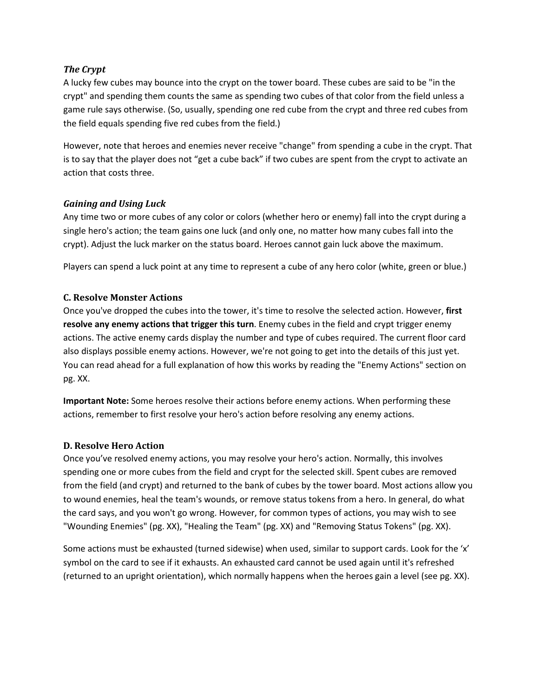#### *The Crypt*

A lucky few cubes may bounce into the crypt on the tower board. These cubes are said to be "in the crypt" and spending them counts the same as spending two cubes of that color from the field unless a game rule says otherwise. (So, usually, spending one red cube from the crypt and three red cubes from the field equals spending five red cubes from the field.)

However, note that heroes and enemies never receive "change" from spending a cube in the crypt. That is to say that the player does not "get a cube back" if two cubes are spent from the crypt to activate an action that costs three.

#### *Gaining and Using Luck*

Any time two or more cubes of any color or colors (whether hero or enemy) fall into the crypt during a single hero's action; the team gains one luck (and only one, no matter how many cubes fall into the crypt). Adjust the luck marker on the status board. Heroes cannot gain luck above the maximum.

Players can spend a luck point at any time to represent a cube of any hero color (white, green or blue.)

#### **C. Resolve Monster Actions**

Once you've dropped the cubes into the tower, it's time to resolve the selected action. However, **first resolve any enemy actions that trigger this turn**. Enemy cubes in the field and crypt trigger enemy actions. The active enemy cards display the number and type of cubes required. The current floor card also displays possible enemy actions. However, we're not going to get into the details of this just yet. You can read ahead for a full explanation of how this works by reading the "Enemy Actions" section on pg. XX.

**Important Note:** Some heroes resolve their actions before enemy actions. When performing these actions, remember to first resolve your hero's action before resolving any enemy actions.

#### **D. Resolve Hero Action**

Once you've resolved enemy actions, you may resolve your hero's action. Normally, this involves spending one or more cubes from the field and crypt for the selected skill. Spent cubes are removed from the field (and crypt) and returned to the bank of cubes by the tower board. Most actions allow you to wound enemies, heal the team's wounds, or remove status tokens from a hero. In general, do what the card says, and you won't go wrong. However, for common types of actions, you may wish to see "Wounding Enemies" (pg. XX), "Healing the Team" (pg. XX) and "Removing Status Tokens" (pg. XX).

Some actions must be exhausted (turned sidewise) when used, similar to support cards. Look for the 'x' symbol on the card to see if it exhausts. An exhausted card cannot be used again until it's refreshed (returned to an upright orientation), which normally happens when the heroes gain a level (see pg. XX).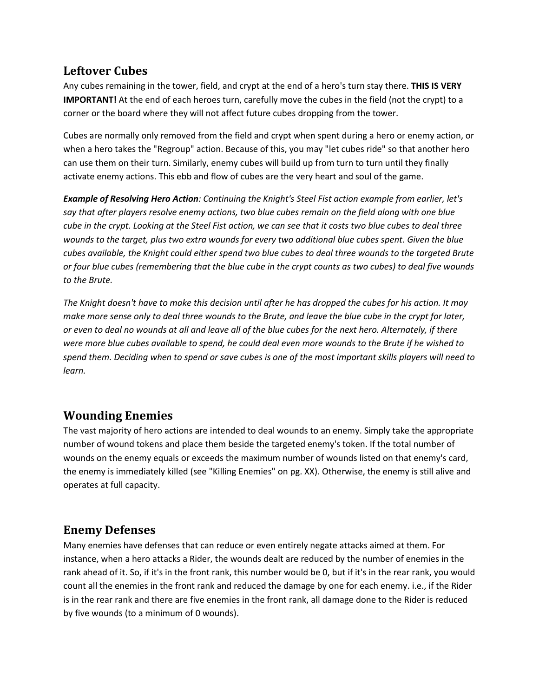# **Leftover Cubes**

Any cubes remaining in the tower, field, and crypt at the end of a hero's turn stay there. **THIS IS VERY IMPORTANT!** At the end of each heroes turn, carefully move the cubes in the field (not the crypt) to a corner or the board where they will not affect future cubes dropping from the tower.

Cubes are normally only removed from the field and crypt when spent during a hero or enemy action, or when a hero takes the "Regroup" action. Because of this, you may "let cubes ride" so that another hero can use them on their turn. Similarly, enemy cubes will build up from turn to turn until they finally activate enemy actions. This ebb and flow of cubes are the very heart and soul of the game.

*Example of Resolving Hero Action: Continuing the Knight's Steel Fist action example from earlier, let's say that after players resolve enemy actions, two blue cubes remain on the field along with one blue cube in the crypt. Looking at the Steel Fist action, we can see that it costs two blue cubes to deal three wounds to the target, plus two extra wounds for every two additional blue cubes spent. Given the blue cubes available, the Knight could either spend two blue cubes to deal three wounds to the targeted Brute or four blue cubes (remembering that the blue cube in the crypt counts as two cubes) to deal five wounds to the Brute.*

*The Knight doesn't have to make this decision until after he has dropped the cubes for his action. It may make more sense only to deal three wounds to the Brute, and leave the blue cube in the crypt for later, or even to deal no wounds at all and leave all of the blue cubes for the next hero. Alternately, if there were more blue cubes available to spend, he could deal even more wounds to the Brute if he wished to spend them. Deciding when to spend or save cubes is one of the most important skills players will need to learn.*

# **Wounding Enemies**

The vast majority of hero actions are intended to deal wounds to an enemy. Simply take the appropriate number of wound tokens and place them beside the targeted enemy's token. If the total number of wounds on the enemy equals or exceeds the maximum number of wounds listed on that enemy's card, the enemy is immediately killed (see "Killing Enemies" on pg. XX). Otherwise, the enemy is still alive and operates at full capacity.

# **Enemy Defenses**

Many enemies have defenses that can reduce or even entirely negate attacks aimed at them. For instance, when a hero attacks a Rider, the wounds dealt are reduced by the number of enemies in the rank ahead of it. So, if it's in the front rank, this number would be 0, but if it's in the rear rank, you would count all the enemies in the front rank and reduced the damage by one for each enemy. i.e., if the Rider is in the rear rank and there are five enemies in the front rank, all damage done to the Rider is reduced by five wounds (to a minimum of 0 wounds).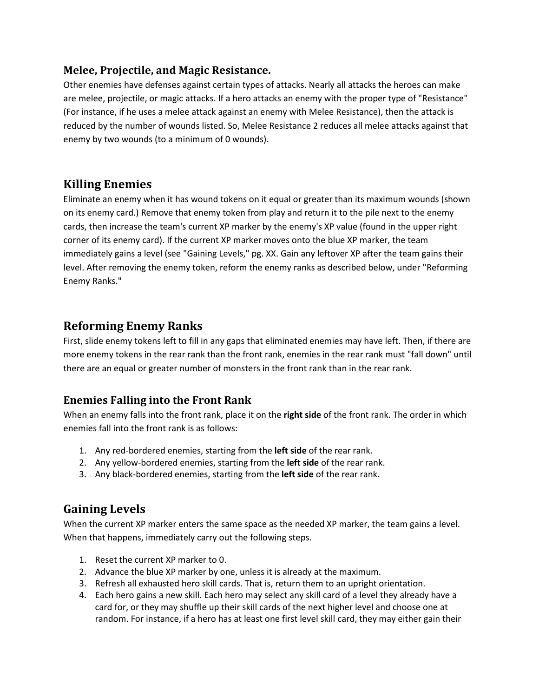### **Melee, Projectile, and Magic Resistance.**

Other enemies have defenses against certain types of attacks. Nearly all attacks the heroes can make are melee, projectile, or magic attacks. If a hero attacks an enemy with the proper type of "Resistance" (For instance, if he uses a melee attack against an enemy with Melee Resistance), then the attack is reduced by the number of wounds listed. So, Melee Resistance 2 reduces all melee attacks against that enemy by two wounds (to a minimum of 0 wounds).

# **Killing Enemies**

Eliminate an enemy when it has wound tokens on it equal or greater than its maximum wounds (shown on its enemy card.) Remove that enemy token from play and return it to the pile next to the enemy cards, then increase the team's current XP marker by the enemy's XP value (found in the upper right corner of its enemy card). If the current XP marker moves onto the blue XP marker, the team immediately gains a level (see "Gaining Levels," pg. XX. Gain any leftover XP after the team gains their level. After removing the enemy token, reform the enemy ranks as described below, under "Reforming Enemy Ranks."

# **Reforming Enemy Ranks**

First, slide enemy tokens left to fill in any gaps that eliminated enemies may have left. Then, if there are more enemy tokens in the rear rank than the front rank, enemies in the rear rank must "fall down" until there are an equal or greater number of monsters in the front rank than in the rear rank.

# **Enemies Falling into the Front Rank**

When an enemy falls into the front rank, place it on the **right side** of the front rank. The order in which enemies fall into the front rank is as follows:

- 1. Any red-bordered enemies, starting from the **left side** of the rear rank.
- 2. Any yellow-bordered enemies, starting from the **left side** of the rear rank.
- 3. Any black-bordered enemies, starting from the **left side** of the rear rank.

# **Gaining Levels**

When the current XP marker enters the same space as the needed XP marker, the team gains a level. When that happens, immediately carry out the following steps.

- 1. Reset the current XP marker to 0.
- 2. Advance the blue XP marker by one, unless it is already at the maximum.
- 3. Refresh all exhausted hero skill cards. That is, return them to an upright orientation.
- 4. Each hero gains a new skill. Each hero may select any skill card of a level they already have a card for, or they may shuffle up their skill cards of the next higher level and choose one at random. For instance, if a hero has at least one first level skill card, they may either gain their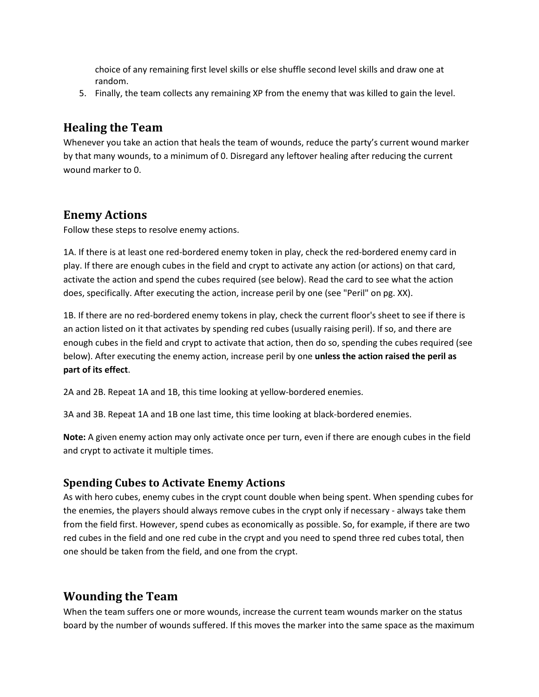choice of any remaining first level skills or else shuffle second level skills and draw one at random.

5. Finally, the team collects any remaining XP from the enemy that was killed to gain the level.

# **Healing the Team**

Whenever you take an action that heals the team of wounds, reduce the party's current wound marker by that many wounds, to a minimum of 0. Disregard any leftover healing after reducing the current wound marker to 0.

# **Enemy Actions**

Follow these steps to resolve enemy actions.

1A. If there is at least one red-bordered enemy token in play, check the red-bordered enemy card in play. If there are enough cubes in the field and crypt to activate any action (or actions) on that card, activate the action and spend the cubes required (see below). Read the card to see what the action does, specifically. After executing the action, increase peril by one (see "Peril" on pg. XX).

1B. If there are no red-bordered enemy tokens in play, check the current floor's sheet to see if there is an action listed on it that activates by spending red cubes (usually raising peril). If so, and there are enough cubes in the field and crypt to activate that action, then do so, spending the cubes required (see below). After executing the enemy action, increase peril by one **unless the action raised the peril as part of its effect**.

2A and 2B. Repeat 1A and 1B, this time looking at yellow-bordered enemies.

3A and 3B. Repeat 1A and 1B one last time, this time looking at black-bordered enemies.

**Note:** A given enemy action may only activate once per turn, even if there are enough cubes in the field and crypt to activate it multiple times.

# **Spending Cubes to Activate Enemy Actions**

As with hero cubes, enemy cubes in the crypt count double when being spent. When spending cubes for the enemies, the players should always remove cubes in the crypt only if necessary - always take them from the field first. However, spend cubes as economically as possible. So, for example, if there are two red cubes in the field and one red cube in the crypt and you need to spend three red cubes total, then one should be taken from the field, and one from the crypt.

# **Wounding the Team**

When the team suffers one or more wounds, increase the current team wounds marker on the status board by the number of wounds suffered. If this moves the marker into the same space as the maximum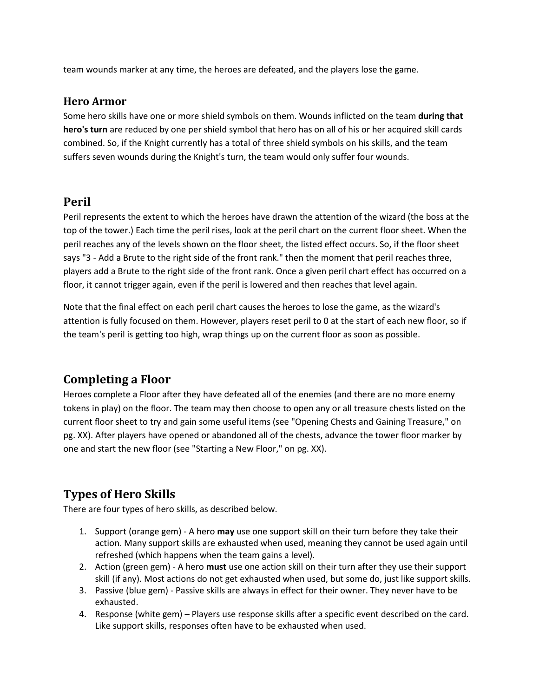team wounds marker at any time, the heroes are defeated, and the players lose the game.

#### **Hero Armor**

Some hero skills have one or more shield symbols on them. Wounds inflicted on the team **during that hero's turn** are reduced by one per shield symbol that hero has on all of his or her acquired skill cards combined. So, if the Knight currently has a total of three shield symbols on his skills, and the team suffers seven wounds during the Knight's turn, the team would only suffer four wounds.

# **Peril**

Peril represents the extent to which the heroes have drawn the attention of the wizard (the boss at the top of the tower.) Each time the peril rises, look at the peril chart on the current floor sheet. When the peril reaches any of the levels shown on the floor sheet, the listed effect occurs. So, if the floor sheet says "3 - Add a Brute to the right side of the front rank." then the moment that peril reaches three, players add a Brute to the right side of the front rank. Once a given peril chart effect has occurred on a floor, it cannot trigger again, even if the peril is lowered and then reaches that level again.

Note that the final effect on each peril chart causes the heroes to lose the game, as the wizard's attention is fully focused on them. However, players reset peril to 0 at the start of each new floor, so if the team's peril is getting too high, wrap things up on the current floor as soon as possible.

# **Completing a Floor**

Heroes complete a Floor after they have defeated all of the enemies (and there are no more enemy tokens in play) on the floor. The team may then choose to open any or all treasure chests listed on the current floor sheet to try and gain some useful items (see "Opening Chests and Gaining Treasure," on pg. XX). After players have opened or abandoned all of the chests, advance the tower floor marker by one and start the new floor (see "Starting a New Floor," on pg. XX).

# **Types of Hero Skills**

There are four types of hero skills, as described below.

- 1. Support (orange gem) A hero **may** use one support skill on their turn before they take their action. Many support skills are exhausted when used, meaning they cannot be used again until refreshed (which happens when the team gains a level).
- 2. Action (green gem) A hero **must** use one action skill on their turn after they use their support skill (if any). Most actions do not get exhausted when used, but some do, just like support skills.
- 3. Passive (blue gem) Passive skills are always in effect for their owner. They never have to be exhausted.
- 4. Response (white gem) Players use response skills after a specific event described on the card. Like support skills, responses often have to be exhausted when used.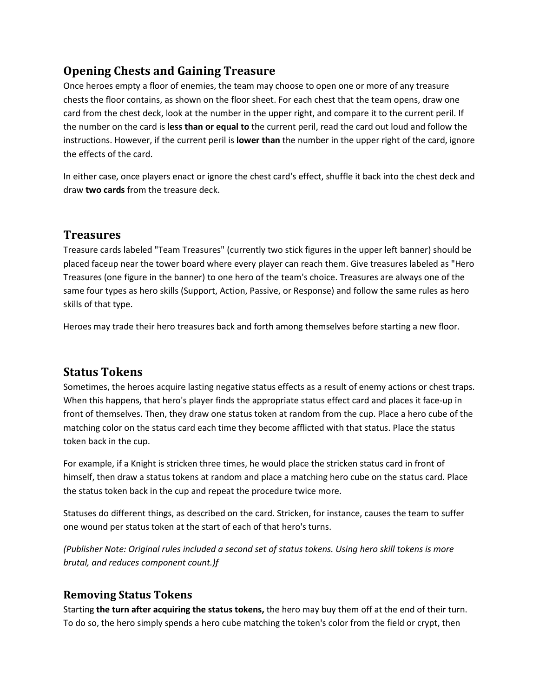# **Opening Chests and Gaining Treasure**

Once heroes empty a floor of enemies, the team may choose to open one or more of any treasure chests the floor contains, as shown on the floor sheet. For each chest that the team opens, draw one card from the chest deck, look at the number in the upper right, and compare it to the current peril. If the number on the card is **less than or equal to** the current peril, read the card out loud and follow the instructions. However, if the current peril is **lower than** the number in the upper right of the card, ignore the effects of the card.

In either case, once players enact or ignore the chest card's effect, shuffle it back into the chest deck and draw **two cards** from the treasure deck.

# **Treasures**

Treasure cards labeled "Team Treasures" (currently two stick figures in the upper left banner) should be placed faceup near the tower board where every player can reach them. Give treasures labeled as "Hero Treasures (one figure in the banner) to one hero of the team's choice. Treasures are always one of the same four types as hero skills (Support, Action, Passive, or Response) and follow the same rules as hero skills of that type.

Heroes may trade their hero treasures back and forth among themselves before starting a new floor.

# **Status Tokens**

Sometimes, the heroes acquire lasting negative status effects as a result of enemy actions or chest traps. When this happens, that hero's player finds the appropriate status effect card and places it face-up in front of themselves. Then, they draw one status token at random from the cup. Place a hero cube of the matching color on the status card each time they become afflicted with that status. Place the status token back in the cup.

For example, if a Knight is stricken three times, he would place the stricken status card in front of himself, then draw a status tokens at random and place a matching hero cube on the status card. Place the status token back in the cup and repeat the procedure twice more.

Statuses do different things, as described on the card. Stricken, for instance, causes the team to suffer one wound per status token at the start of each of that hero's turns.

*(Publisher Note: Original rules included a second set of status tokens. Using hero skill tokens is more brutal, and reduces component count.)f*

### **Removing Status Tokens**

Starting **the turn after acquiring the status tokens,** the hero may buy them off at the end of their turn. To do so, the hero simply spends a hero cube matching the token's color from the field or crypt, then